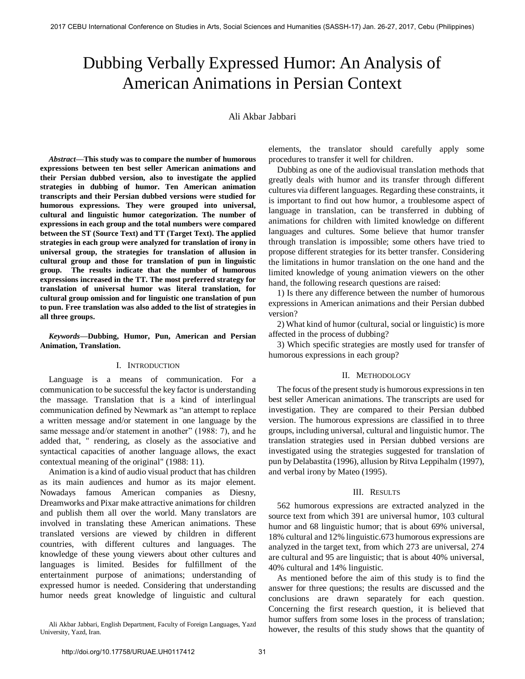# Dubbing Verbally Expressed Humor: An Analysis of American Animations in Persian Context

Ali Akbar Jabbari

*Abstract***—This study was to compare the number of humorous expressions between ten best seller American animations and their Persian dubbed version, also to investigate the applied strategies in dubbing of humor. Ten American animation transcripts and their Persian dubbed versions were studied for humorous expressions. They were grouped into universal, cultural and linguistic humor categorization. The number of expressions in each group and the total numbers were compared between the ST (Source Text) and TT (Target Text). The applied strategies in each group were analyzed for translation of irony in universal group, the strategies for translation of allusion in cultural group and those for translation of pun in linguistic group. The results indicate that the number of humorous expressions increased in the TT. The most preferred strategy for translation of universal humor was literal translation, for cultural group omission and for linguistic one translation of pun to pun. Free translation was also added to the list of strategies in all three groups.** 

*Keywords***—Dubbing, Humor, Pun, American and Persian Animation, Translation.** 

## I. INTRODUCTION

Language is a means of communication. For a communication to be successful the key factor is understanding the massage. Translation that is a kind of interlingual communication defined by Newmark as "an attempt to replace a written message and/or statement in one language by the same message and/or statement in another" (1988: 7), and he added that, " rendering, as closely as the associative and syntactical capacities of another language allows, the exact contextual meaning of the original" (1988: 11).

Animation is a kind of audio visual product that has children as its main audiences and humor as its major element. Nowadays famous American companies as Diesny, Dreamworks and Pixar make attractive animations for children and publish them all over the world. Many translators are involved in translating these American animations. These translated versions are viewed by children in different countries, with different cultures and languages. The knowledge of these young viewers about other cultures and languages is limited. Besides for fulfillment of the entertainment purpose of animations; understanding of expressed humor is needed. Considering that understanding humor needs great knowledge of linguistic and cultural

Ali Akbar Jabbari, English Department, Faculty of Foreign Languages, Yazd University, Yazd, Iran.

elements, the translator should carefully apply some procedures to transfer it well for children.

Dubbing as one of the audiovisual translation methods that greatly deals with humor and its transfer through different cultures via different languages. Regarding these constraints, it is important to find out how humor, a troublesome aspect of language in translation, can be transferred in dubbing of animations for children with limited knowledge on different languages and cultures. Some believe that humor transfer through translation is impossible; some others have tried to propose different strategies for its better transfer. Considering the limitations in humor translation on the one hand and the limited knowledge of young animation viewers on the other hand, the following research questions are raised:

1) Is there any difference between the number of humorous expressions in American animations and their Persian dubbed version?

2) What kind of humor (cultural, social or linguistic) is more affected in the process of dubbing?

3) Which specific strategies are mostly used for transfer of humorous expressions in each group?

#### II. METHODOLOGY

The focus of the present study is humorous expressions in ten best seller American animations. The transcripts are used for investigation. They are compared to their Persian dubbed version. The humorous expressions are classified in to three groups, including universal, cultural and linguistic humor. The translation strategies used in Persian dubbed versions are investigated using the strategies suggested for translation of pun by Delabastita (1996), allusion by Ritva Leppihalm (1997), and verbal irony by Mateo (1995).

#### III. RESULTS

562 humorous expressions are extracted analyzed in the source text from which 391 are universal humor, 103 cultural humor and 68 linguistic humor; that is about 69% universal, 18% cultural and 12% linguistic.673 humorous expressions are analyzed in the target text, from which 273 are universal, 274 are cultural and 95 are linguistic; that is about 40% universal, 40% cultural and 14% linguistic.

As mentioned before the aim of this study is to find the answer for three questions; the results are discussed and the conclusions are drawn separately for each question. Concerning the first research question, it is believed that humor suffers from some loses in the process of translation; however, the results of this study shows that the quantity of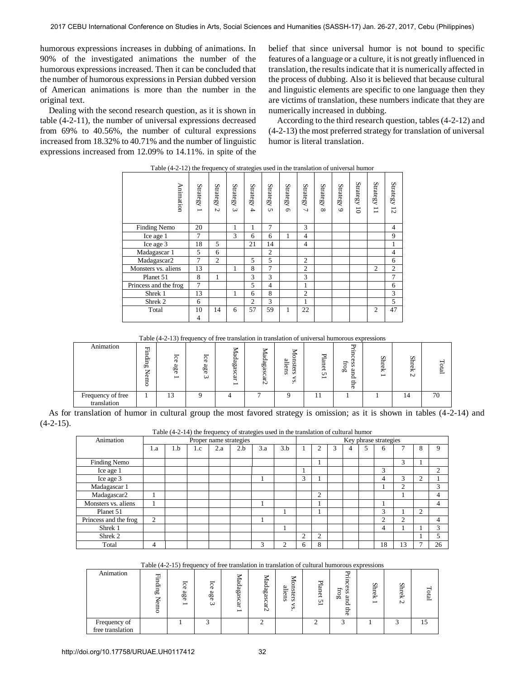humorous expressions increases in dubbing of animations. In 90% of the investigated animations the number of the humorous expressions increased. Then it can be concluded that the number of humorous expressions in Persian dubbed version of American animations is more than the number in the original text.

Dealing with the second research question, as it is shown in table (4-2-11), the number of universal expressions decreased from 69% to 40.56%, the number of cultural expressions increased from 18.32% to 40.71% and the number of linguistic expressions increased from 12.09% to 14.11%. in spite of the

belief that since universal humor is not bound to specific features of a language or a culture, it is not greatly influenced in translation, the results indicate that it is numerically affected in the process of dubbing. Also it is believed that because cultural and linguistic elements are specific to one language then they are victims of translation, these numbers indicate that they are numerically increased in dubbing.

According to the third research question, tables (4-2-12) and (4-2-13) the most preferred strategy for translation of universal humor is literal translation.

| Animation             | <b>Strategy</b><br>$\overline{\phantom{0}}$ | <b>Strategy</b><br>$\sim$ | <b>Strategy</b><br>$\omega$ | <b>Strategy</b><br>$\overline{\mathbf{4}}$ | <b>Strategy</b><br><b>Un</b> | Strategy<br>$\sigma$ | <b>Strategy</b><br>$\overline{a}$ | <b>Strategy</b><br>$\infty$ | Strategy<br>$\circ$ | <b>Strategy</b><br>$\overline{5}$ | <b>Strategy</b><br>Ī<br>▭ | <b>Strategy</b><br>12 |
|-----------------------|---------------------------------------------|---------------------------|-----------------------------|--------------------------------------------|------------------------------|----------------------|-----------------------------------|-----------------------------|---------------------|-----------------------------------|---------------------------|-----------------------|
| Finding Nemo          | 20                                          |                           | 1                           | 1                                          | 7                            |                      | 3                                 |                             |                     |                                   |                           | 4                     |
| Ice age 1             | 7                                           |                           | 3                           | 6                                          | 6                            | 1                    | $\overline{4}$                    |                             |                     |                                   |                           | 9                     |
| Ice age 3             | 18                                          | 5                         |                             | 21                                         | 14                           |                      | $\overline{4}$                    |                             |                     |                                   |                           | 1                     |
| Madagascar 1          | 5                                           | 6                         |                             |                                            | $\overline{c}$               |                      |                                   |                             |                     |                                   |                           | $\overline{4}$        |
| Madagascar2           | 7                                           | $\overline{c}$            |                             | 5                                          | 5                            |                      | $\overline{2}$                    |                             |                     |                                   |                           | 6                     |
| Monsters vs. aliens   | 13                                          |                           | 1                           | 8                                          | 7                            |                      | $\overline{2}$                    |                             |                     |                                   | $\overline{c}$            | $\overline{2}$        |
| Planet 51             | 8                                           | 1                         |                             | 3                                          | 3                            |                      | 3                                 |                             |                     |                                   |                           | 7                     |
| Princess and the frog | 7                                           |                           |                             | 5                                          | $\overline{\mathcal{L}}$     |                      | 1                                 |                             |                     |                                   |                           | 6                     |
| Shrek <sub>1</sub>    | 13                                          |                           | 1                           | 6                                          | 8                            |                      | $\overline{2}$                    |                             |                     |                                   |                           | 3                     |
| Shrek <sub>2</sub>    | 6                                           |                           |                             | $\overline{2}$                             | 3                            |                      | 1                                 |                             |                     |                                   |                           | 5                     |
| Total                 | 10                                          | 14                        | 6                           | 57                                         | 59                           | 1                    | 22                                |                             |                     |                                   | $\overline{c}$            | 47                    |
|                       | $\overline{4}$                              |                           |                             |                                            |                              |                      |                                   |                             |                     |                                   |                           |                       |

| Table (4-2-12) the frequency of strategies used in the translation of universal humor |  |  |
|---------------------------------------------------------------------------------------|--|--|

Table (4-2-13) frequency of free translation in translation of universal humorous expressions

| Animation                        | 핅<br>g.<br>0°<br>⇁<br>∸<br>Gm<br>٥ | Ice<br>ß<br>တ် | ನ<br>ര<br>p<br>9g<br>ω | ⇁<br>ᆸ<br>daga<br>ەن<br>ິ<br>F.<br>$\overline{\phantom{0}}$ | ⇁<br>⋍<br>p.<br>∾<br>0 <sup>o</sup><br>æ<br>نغ<br>⊢<br>N | ⇁<br>은.<br>ters<br>$\sigma$<br>E<br>$\sim$ | ᠊ᡆ<br>E<br>Φ<br>Ä<br>c | ᠇ᡕ<br>⊣<br>ᄇ<br>구<br>Ö<br>s<br>E<br>ΩÓ<br>∽<br>∸<br>吕<br>ō | Š<br>0<br>$\ddot{ }$<br>$\overline{\phantom{0}}$ | S<br>эx<br>$\sim$ | Total |
|----------------------------------|------------------------------------|----------------|------------------------|-------------------------------------------------------------|----------------------------------------------------------|--------------------------------------------|------------------------|------------------------------------------------------------|--------------------------------------------------|-------------------|-------|
| Frequency of free<br>translation |                                    | 13             |                        |                                                             | -                                                        |                                            | -1                     |                                                            |                                                  | 14                | 70    |

As for translation of humor in cultural group the most favored strategy is omission; as it is shown in tables (4-2-14) and  $(4-2-15)$ .

Table (4-2-14) the frequency of strategies used in the translation of cultural humor

| Animation             | Proper name strategies |     |     |     |     |                |               |               |   | Key phrase strategies |   |  |    |    |   |               |
|-----------------------|------------------------|-----|-----|-----|-----|----------------|---------------|---------------|---|-----------------------|---|--|----|----|---|---------------|
|                       | 1.a                    | 1.b | 1.c | 2.a | 2.b | 3.a            | 3.b           |               | Γ | 3                     | 4 |  | 6  |    | δ | 9             |
| Finding Nemo          |                        |     |     |     |     |                |               |               |   |                       |   |  |    | 3  |   |               |
| Ice age 1             |                        |     |     |     |     |                |               |               |   |                       |   |  | 3  |    |   | $\mathcal{D}$ |
| Ice age 3             |                        |     |     |     |     |                |               | 3             |   |                       |   |  | 4  | 3  | ◠ |               |
| Madagascar 1          |                        |     |     |     |     |                |               |               |   |                       |   |  |    | C  |   | 3             |
| Madagascar2           |                        |     |     |     |     |                |               |               | 2 |                       |   |  |    |    |   | 4             |
| Monsters vs. aliens   |                        |     |     |     |     |                |               |               |   |                       |   |  |    |    |   | 4             |
| Planet 51             |                        |     |     |     |     |                |               |               |   |                       |   |  | 3  |    | ↑ |               |
| Princess and the frog | $\overline{c}$         |     |     |     |     |                |               |               |   |                       |   |  | ◠  | C  |   | 4             |
| Shrek 1               |                        |     |     |     |     |                |               |               |   |                       |   |  | 4  |    |   | 3             |
| Shrek 2               |                        |     |     |     |     |                |               | $\mathcal{L}$ | ◠ |                       |   |  |    |    |   | 5             |
| Total                 | 4                      |     |     |     |     | $\overline{ }$ | $\mathcal{L}$ | 6             | 8 |                       |   |  | 18 | 13 |   | 26            |

Table (4-2-15) frequency of free translation in translation of cultural humorous expressions

| Animation                        | $\rm{Finding}$<br>⇁<br>∼<br>Ф<br>ijП | $\overline{5}$<br>$\sigma$<br>age | ᢛ<br>ᠬ<br>age<br>ω | ⇁<br><i>Aadagas</i><br>C<br>5É<br>$\overline{\phantom{0}}$ | ⇁<br>fadagascar<br>Ń | ⇁<br>⋍<br>≘<br>S<br>s<br>-<br>ನ<br>GIJ<br>÷<br>ં∧<br>ø<br>S | ₩<br>E<br>g<br>c<br>$\overline{\phantom{0}}$ | ⊣<br>-<br>누<br>SS<br><b>Qd</b><br>险<br>≏<br>릅<br>ō | s<br>Ήć<br>$\ddot{ }$<br>$\overline{\phantom{0}}$ | S<br>ੜ<br>ěk<br>N | Total |
|----------------------------------|--------------------------------------|-----------------------------------|--------------------|------------------------------------------------------------|----------------------|-------------------------------------------------------------|----------------------------------------------|----------------------------------------------------|---------------------------------------------------|-------------------|-------|
| Frequency of<br>free translation |                                      |                                   |                    |                                                            |                      |                                                             |                                              |                                                    |                                                   | ╭                 | 15    |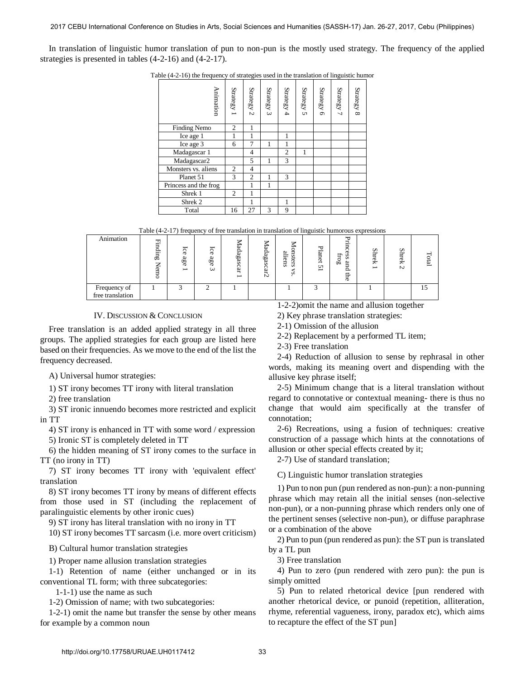In translation of linguistic humor translation of pun to non-pun is the mostly used strategy. The frequency of the applied strategies is presented in tables (4-2-16) and (4-2-17).

| Animation             | <b>Strategy</b> | Strategy 2     | Strategy 3 | Strategy 4     | Strategy 5 | Strategy 6 | Strategy 7 | Strategy 8 |
|-----------------------|-----------------|----------------|------------|----------------|------------|------------|------------|------------|
| <b>Finding Nemo</b>   | $\overline{c}$  | 1              |            |                |            |            |            |            |
| Ice age 1             | 1               | 1              |            | 1              |            |            |            |            |
| Ice age 3             | 6               | 7              | 1          | 1              |            |            |            |            |
| Madagascar 1          |                 | 4              |            | $\overline{2}$ | 1          |            |            |            |
| Madagascar2           |                 | 5              | 1          | 3              |            |            |            |            |
| Monsters vs. aliens   | 2               | 4              |            |                |            |            |            |            |
| Planet 51             | 3               | $\overline{c}$ | 1          | 3              |            |            |            |            |
| Princess and the frog |                 | 1              | 1          |                |            |            |            |            |
| Shrek 1               | $\overline{c}$  | 1              |            |                |            |            |            |            |
| Shrek <sub>2</sub>    |                 | 1              |            | 1              |            |            |            |            |
| Total                 | 16              | 27             | 3          | 9              |            |            |            |            |

Table (4-2-16) the frequency of strategies used in the translation of linguistic humor

Table (4-2-17) frequency of free translation in translation of linguistic humorous expressions

| Animation        | $\rm{Finding}$<br>⇁<br>≬em<br>ö | $\overline{5}$<br>$\sigma$<br>age | ᢛ<br>Ö<br>age<br>ى | ⇁<br>∾<br>dagasc<br>Ë<br>− | ⇁<br>Aadagas<br>Ö<br>£,<br>Ń | ⇁<br>ь<br>∾<br>=<br>s<br>ō<br>−<br>൹<br>ns<br>∺<br>ø<br>s | Pla<br>Ğ<br>Ō<br>$\overline{\phantom{0}}$ | ᡃ᠇ᠣ<br>∃<br>ਸ਼ੁ<br>SS<br>5<br><b>GO</b><br>പ<br>₿<br>ō | Sh<br>5<br>$\ddot{z}$<br>$\overline{\phantom{0}}$ | Sh<br>Φk<br>N | Total |
|------------------|---------------------------------|-----------------------------------|--------------------|----------------------------|------------------------------|-----------------------------------------------------------|-------------------------------------------|--------------------------------------------------------|---------------------------------------------------|---------------|-------|
| Frequency of     |                                 |                                   |                    |                            |                              |                                                           |                                           |                                                        |                                                   |               |       |
| free translation |                                 |                                   |                    |                            |                              |                                                           |                                           |                                                        |                                                   |               |       |

## IV. DISCUSSION & CONCLUSION

Free translation is an added applied strategy in all three groups. The applied strategies for each group are listed here based on their frequencies. As we move to the end of the list the frequency decreased.

A) Universal humor strategies:

1) ST irony becomes TT irony with literal translation

2) free translation

3) ST ironic innuendo becomes more restricted and explicit in TT

4) ST irony is enhanced in TT with some word / expression 5) Ironic ST is completely deleted in TT

6) the hidden meaning of ST irony comes to the surface in TT (no irony in TT)

7) ST irony becomes TT irony with 'equivalent effect' translation

8) ST irony becomes TT irony by means of different effects from those used in ST (including the replacement of paralinguistic elements by other ironic cues)

9) ST irony has literal translation with no irony in TT

10) ST irony becomes TT sarcasm (i.e. more overt criticism)

B) Cultural humor translation strategies

1) Proper name allusion translation strategies

1-1) Retention of name (either unchanged or in its conventional TL form; with three subcategories:

1-1-1) use the name as such

1-2) Omission of name; with two subcategories:

1-2-1) omit the name but transfer the sense by other means for example by a common noun

1-2-2)omit the name and allusion together

2) Key phrase translation strategies:

2-1) Omission of the allusion

2-2) Replacement by a performed TL item;

2-3) Free translation

2-4) Reduction of allusion to sense by rephrasal in other words, making its meaning overt and dispending with the allusive key phrase itself;

2-5) Minimum change that is a literal translation without regard to connotative or contextual meaning- there is thus no change that would aim specifically at the transfer of connotation;

2-6) Recreations, using a fusion of techniques: creative construction of a passage which hints at the connotations of allusion or other special effects created by it;

2-7) Use of standard translation;

C) Linguistic humor translation strategies

1) Pun to non pun (pun rendered as non-pun): a non-punning phrase which may retain all the initial senses (non-selective non-pun), or a non-punning phrase which renders only one of the pertinent senses (selective non-pun), or diffuse paraphrase or a combination of the above

2) Pun to pun (pun rendered as pun): the ST pun is translated by a TL pun

3) Free translation

4) Pun to zero (pun rendered with zero pun): the pun is simply omitted

5) Pun to related rhetorical device [pun rendered with another rhetorical device, or punoid (repetition, alliteration, rhyme, referential vagueness, irony, paradox etc), which aims to recapture the effect of the ST pun]